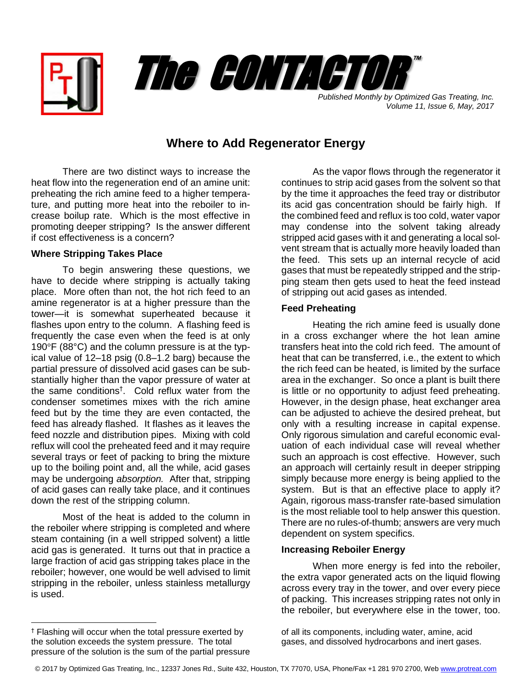



*Volume 11, Issue 6, May, 2017*

# **Where to Add Regenerator Energy**

There are two distinct ways to increase the heat flow into the regeneration end of an amine unit: preheating the rich amine feed to a higher temperature, and putting more heat into the reboiler to increase boilup rate. Which is the most effective in promoting deeper stripping? Is the answer different if cost effectiveness is a concern?

## **Where Stripping Takes Place**

To begin answering these questions, we have to decide where stripping is actually taking place. More often than not, the hot rich feed to an amine regenerator is at a higher pressure than the tower—it is somewhat superheated because it flashes upon entry to the column. A flashing feed is frequently the case even when the feed is at only 190°F (88°C) and the column pressure is at the typical value of 12–18 psig (0.8–1.2 barg) because the partial pressure of dissolved acid gases can be substantially higher than the vapor pressure of water at the same conditions† . Cold reflux water from the condenser sometimes mixes with the rich amine feed but by the time they are even contacted, the feed has already flashed. It flashes as it leaves the feed nozzle and distribution pipes. Mixing with cold reflux will cool the preheated feed and it may require several trays or feet of packing to bring the mixture up to the boiling point and, all the while, acid gases may be undergoing *absorption.* After that, stripping of acid gases can really take place, and it continues down the rest of the stripping column.

Most of the heat is added to the column in the reboiler where stripping is completed and where steam containing (in a well stripped solvent) a little acid gas is generated. It turns out that in practice a large fraction of acid gas stripping takes place in the reboiler; however, one would be well advised to limit stripping in the reboiler, unless stainless metallurgy is used.

l

As the vapor flows through the regenerator it continues to strip acid gases from the solvent so that by the time it approaches the feed tray or distributor its acid gas concentration should be fairly high. If the combined feed and reflux is too cold, water vapor may condense into the solvent taking already stripped acid gases with it and generating a local solvent stream that is actually more heavily loaded than the feed. This sets up an internal recycle of acid gases that must be repeatedly stripped and the stripping steam then gets used to heat the feed instead of stripping out acid gases as intended.

### **Feed Preheating**

Heating the rich amine feed is usually done in a cross exchanger where the hot lean amine transfers heat into the cold rich feed. The amount of heat that can be transferred, i.e., the extent to which the rich feed can be heated, is limited by the surface area in the exchanger. So once a plant is built there is little or no opportunity to adjust feed preheating. However, in the design phase, heat exchanger area can be adjusted to achieve the desired preheat, but only with a resulting increase in capital expense. Only rigorous simulation and careful economic evaluation of each individual case will reveal whether such an approach is cost effective. However, such an approach will certainly result in deeper stripping simply because more energy is being applied to the system. But is that an effective place to apply it? Again, rigorous mass-transfer rate-based simulation is the most reliable tool to help answer this question. There are no rules-of-thumb; answers are very much dependent on system specifics.

### **Increasing Reboiler Energy**

When more energy is fed into the reboiler, the extra vapor generated acts on the liquid flowing across every tray in the tower, and over every piece of packing. This increases stripping rates not only in the reboiler, but everywhere else in the tower, too.

of all its components, including water, amine, acid gases, and dissolved hydrocarbons and inert gases.

<sup>†</sup> Flashing will occur when the total pressure exerted by the solution exceeds the system pressure. The total pressure of the solution is the sum of the partial pressure